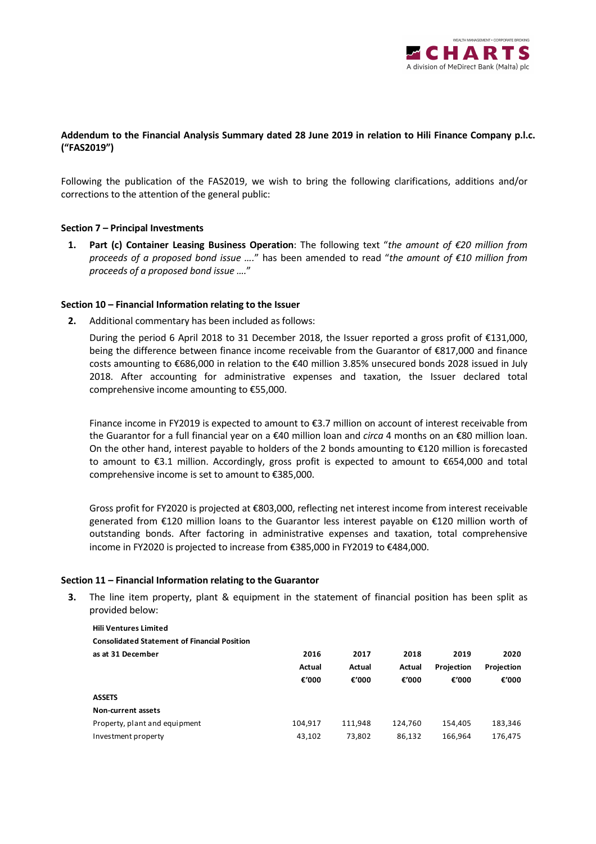

# **Addendum to the Financial Analysis Summary dated 28 June 2019 in relation to Hili Finance Company p.l.c. ("FAS2019")**

Following the publication of the FAS2019, we wish to bring the following clarifications, additions and/or corrections to the attention of the general public:

#### **Section 7 – Principal Investments**

**1. Part (c) Container Leasing Business Operation**: The following text "*the amount of €20 million from proceeds of a proposed bond issue ….*" has been amended to read "*the amount of €10 million from proceeds of a proposed bond issue ….*"

#### **Section 10 – Financial Information relating to the Issuer**

**2.** Additional commentary has been included as follows:

During the period 6 April 2018 to 31 December 2018, the Issuer reported a gross profit of €131,000, being the difference between finance income receivable from the Guarantor of €817,000 and finance costs amounting to €686,000 in relation to the €40 million 3.85% unsecured bonds 2028 issued in July 2018. After accounting for administrative expenses and taxation, the Issuer declared total comprehensive income amounting to €55,000.

Finance income in FY2019 is expected to amount to €3.7 million on account of interest receivable from the Guarantor for a full financial year on a €40 million loan and *circa* 4 months on an €80 million loan. On the other hand, interest payable to holders of the 2 bonds amounting to €120 million is forecasted to amount to €3.1 million. Accordingly, gross profit is expected to amount to €654,000 and total comprehensive income is set to amount to €385,000.

Gross profit for FY2020 is projected at €803,000, reflecting net interest income from interest receivable generated from €120 million loans to the Guarantor less interest payable on €120 million worth of outstanding bonds. After factoring in administrative expenses and taxation, total comprehensive income in FY2020 is projected to increase from €385,000 in FY2019 to €484,000.

#### **Section 11 – Financial Information relating to the Guarantor**

**3.** The line item property, plant & equipment in the statement of financial position has been split as provided below:

| <b>Hili Ventures Limited</b>                        |         |                 |                 |                     |                     |
|-----------------------------------------------------|---------|-----------------|-----------------|---------------------|---------------------|
| <b>Consolidated Statement of Financial Position</b> |         |                 |                 |                     |                     |
| as at 31 December                                   | 2016    | 2017            | 2018            | 2019                | 2020                |
|                                                     | Actual  | Actual<br>€'000 | Actual<br>€'000 | Projection<br>€'000 | Projection<br>€'000 |
|                                                     | €'000   |                 |                 |                     |                     |
| <b>ASSETS</b>                                       |         |                 |                 |                     |                     |
| Non-current assets                                  |         |                 |                 |                     |                     |
| Property, plant and equipment                       | 104.917 | 111.948         | 124.760         | 154,405             | 183,346             |
| Investment property                                 | 43,102  | 73,802          | 86,132          | 166.964             | 176,475             |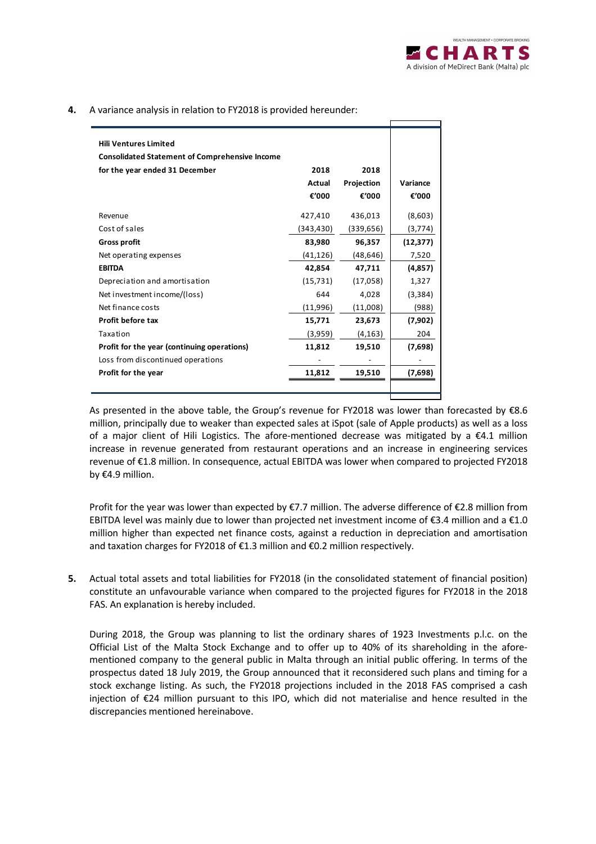**4.** A variance analysis in relation to FY2018 is provided hereunder:

| <b>Hili Ventures Limited</b><br><b>Consolidated Statement of Comprehensive Income</b> |           |            |           |
|---------------------------------------------------------------------------------------|-----------|------------|-----------|
|                                                                                       | 2018      | 2018       |           |
| for the year ended 31 December                                                        |           |            |           |
|                                                                                       | Actual    | Projection | Variance  |
|                                                                                       | €'000     | €'000      | €'000     |
| Revenue                                                                               | 427,410   | 436,013    | (8,603)   |
| Cost of sales                                                                         | (343,430) | (339, 656) | (3,774)   |
| <b>Gross profit</b>                                                                   | 83,980    | 96,357     | (12, 377) |
| Net operating expenses                                                                | (41,126)  | (48,646)   | 7,520     |
| <b>EBITDA</b>                                                                         | 42,854    | 47,711     | (4,857)   |
| Depreciation and amortisation                                                         | (15, 731) | (17,058)   | 1,327     |
| Net investment income/(loss)                                                          | 644       | 4,028      | (3,384)   |
| Net finance costs                                                                     | (11,996)  | (11,008)   | (988)     |
| Profit before tax                                                                     | 15,771    | 23,673     | (7,902)   |
| Taxation                                                                              | (3,959)   | (4, 163)   | 204       |
| Profit for the year (continuing operations)                                           | 11,812    | 19,510     | (7,698)   |
| Loss from discontinued operations                                                     |           |            |           |
| Profit for the year                                                                   | 11.812    | 19,510     | (7,698)   |
|                                                                                       |           |            |           |
|                                                                                       |           |            |           |

 As presented in the above table, the Group's revenue for FY2018 was lower than forecasted by €8.6 million, principally due to weaker than expected sales at iSpot (sale of Apple products) as well as a loss of a major client of Hili Logistics. The afore-mentioned decrease was mitigated by a  $\epsilon$ 4.1 million increase in revenue generated from restaurant operations and an increase in engineering services revenue of €1.8 million. In consequence, actual EBITDA was lower when compared to projected FY2018 by €4.9 million.

Profit for the year was lower than expected by €7.7 million. The adverse difference of €2.8 million from EBITDA level was mainly due to lower than projected net investment income of €3.4 million and a €1.0 million higher than expected net finance costs, against a reduction in depreciation and amortisation and taxation charges for FY2018 of €1.3 million and €0.2 million respectively.

**5.** Actual total assets and total liabilities for FY2018 (in the consolidated statement of financial position) constitute an unfavourable variance when compared to the projected figures for FY2018 in the 2018 FAS. An explanation is hereby included.

During 2018, the Group was planning to list the ordinary shares of 1923 Investments p.l.c. on the Official List of the Malta Stock Exchange and to offer up to 40% of its shareholding in the aforementioned company to the general public in Malta through an initial public offering. In terms of the prospectus dated 18 July 2019, the Group announced that it reconsidered such plans and timing for a stock exchange listing. As such, the FY2018 projections included in the 2018 FAS comprised a cash injection of €24 million pursuant to this IPO, which did not materialise and hence resulted in the discrepancies mentioned hereinabove.